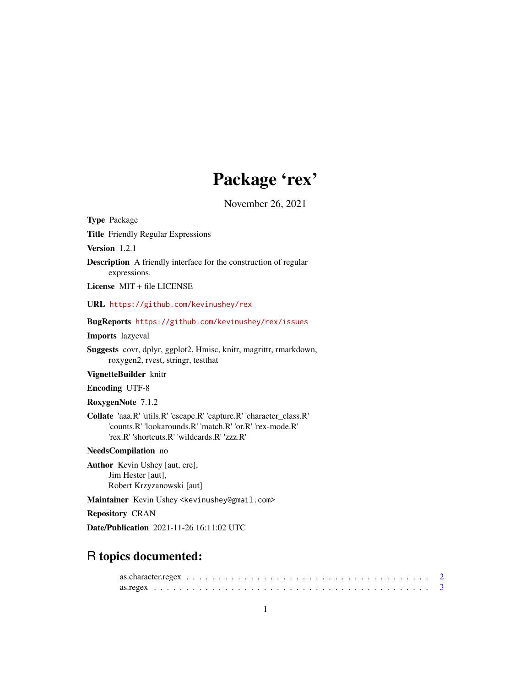# Package 'rex'

November 26, 2021

<span id="page-0-0"></span>

| <b>Type Package</b>                                                                                                                                                             |
|---------------------------------------------------------------------------------------------------------------------------------------------------------------------------------|
| <b>Title</b> Friendly Regular Expressions                                                                                                                                       |
| Version 1.2.1                                                                                                                                                                   |
| <b>Description</b> A friendly interface for the construction of regular<br>expressions.                                                                                         |
| License MIT + file LICENSE                                                                                                                                                      |
| URL https://github.com/kevinushey/rex                                                                                                                                           |
| BugReports https://github.com/kevinushey/rex/issues                                                                                                                             |
| <b>Imports</b> lazyeval                                                                                                                                                         |
| <b>Suggests</b> covr, dplyr, ggplot2, Hmisc, knitr, magrittr, rmarkdown,<br>roxygen2, rvest, stringr, test that                                                                 |
| VignetteBuilder knitr                                                                                                                                                           |
| <b>Encoding UTF-8</b>                                                                                                                                                           |
| RoxygenNote 7.1.2                                                                                                                                                               |
| Collate 'aaa.R' 'utils.R' 'escape.R' 'capture.R' 'character_class.R'<br>'counts.R' 'lookarounds.R' 'match.R' 'or.R' 'rex-mode.R'<br>'rex.R' 'shortcuts.R' 'wildcards.R' 'zzz.R' |
| NeedsCompilation no                                                                                                                                                             |
| <b>Author</b> Kevin Ushey [aut, cre],<br>Jim Hester [aut],<br>Robert Krzyzanowski [aut]                                                                                         |
| Maintainer Kevin Ushey <kevinushey@gmail.com></kevinushey@gmail.com>                                                                                                            |
| <b>Repository CRAN</b>                                                                                                                                                          |
| Date/Publication 2021-11-26 16:11:02 UTC                                                                                                                                        |

## R topics documented: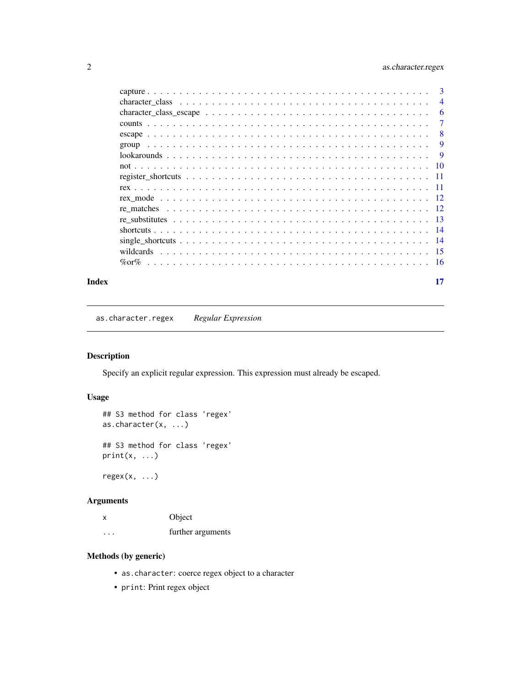## <span id="page-1-0"></span>2 as.character.regex

|  | -3             |
|--|----------------|
|  | $\overline{4}$ |
|  | 6              |
|  | $\overline{7}$ |
|  | -8             |
|  | 9              |
|  | - 9            |
|  |                |
|  |                |
|  |                |
|  |                |
|  |                |
|  |                |
|  |                |
|  |                |
|  |                |
|  |                |
|  |                |

#### **Index** [17](#page-16-0)

as.character.regex *Regular Expression*

## <span id="page-1-1"></span>Description

Specify an explicit regular expression. This expression must already be escaped.

## Usage

```
## S3 method for class 'regex'
as.character(x, ...)
## S3 method for class 'regex'
print(x, \ldots)
```
 $regex(x, \ldots)$ 

## Arguments

| x                       | Object            |
|-------------------------|-------------------|
| $\cdot$ $\cdot$ $\cdot$ | further arguments |

## Methods (by generic)

- as.character: coerce regex object to a character
- print: Print regex object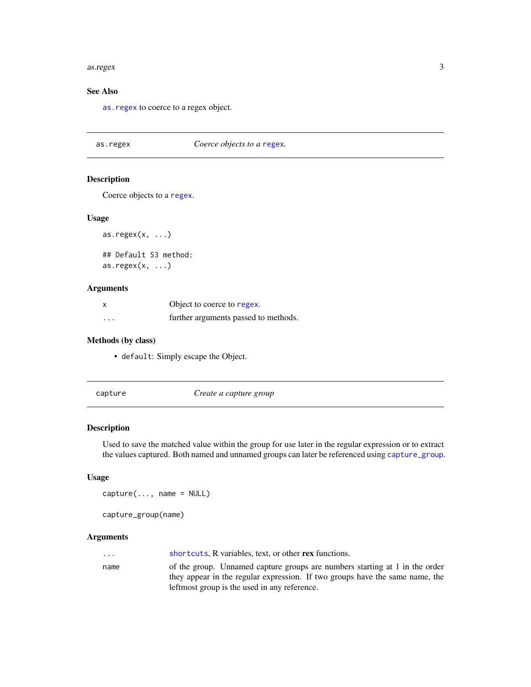#### <span id="page-2-0"></span>as.regex 3

## See Also

[as.regex](#page-2-1) to coerce to a regex object.

<span id="page-2-1"></span>as.regex *Coerce objects to a* [regex](#page-1-1)*.*

#### Description

Coerce objects to a [regex](#page-1-1).

#### Usage

as.regex $(x, \ldots)$ 

## Default S3 method: as.regex $(x, \ldots)$ 

#### Arguments

| X        | Object to coerce to regex.           |
|----------|--------------------------------------|
| $\cdots$ | further arguments passed to methods. |

## Methods (by class)

- default: Simply escape the Object.
- 

<span id="page-2-3"></span>capture *Create a capture group*

## <span id="page-2-2"></span>Description

Used to save the matched value within the group for use later in the regular expression or to extract the values captured. Both named and unnamed groups can later be referenced using [capture\\_group](#page-2-2).

## Usage

 $capture(..., name = NULL)$ 

capture\_group(name)

| $\cdot$ $\cdot$ $\cdot$ | shortcuts. R variables, text, or other rex functions.                        |
|-------------------------|------------------------------------------------------------------------------|
| name                    | of the group. Unnamed capture groups are numbers starting at 1 in the order  |
|                         | they appear in the regular expression. If two groups have the same name, the |
|                         | leftmost group is the used in any reference.                                 |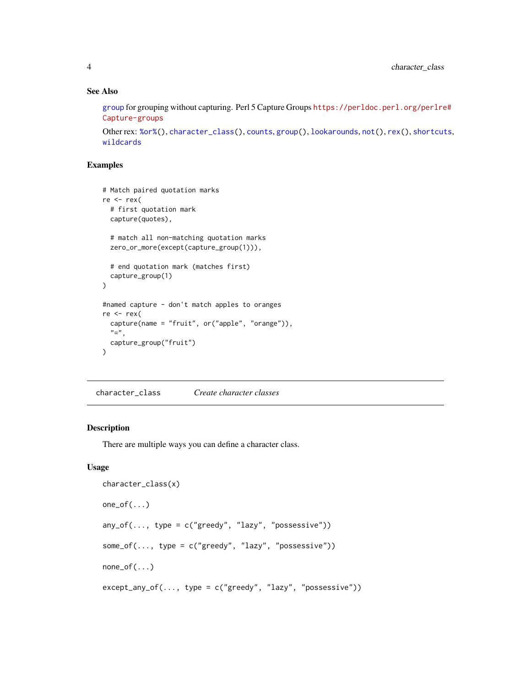## See Also

[group](#page-8-1) for grouping without capturing. Perl 5 Capture Groups [https://perldoc.perl.org/perlre](https://perldoc.perl.org/perlre#Capture-groups)# [Capture-groups](https://perldoc.perl.org/perlre#Capture-groups)

```
Other rex: %or%(), character_class(), counts, group(), lookarounds, not(), rex(), shortcuts,
wildcards
```
## Examples

```
# Match paired quotation marks
re <- rex(
  # first quotation mark
  capture(quotes),
  # match all non-matching quotation marks
  zero_or_more(except(capture_group(1))),
  # end quotation mark (matches first)
  capture_group(1)
\lambda#named capture - don't match apples to oranges
re <- rex(
  capture(name = "fruit", or("apple", "orange")),
  v=v,
  capture_group("fruit")
\mathcal{L}
```
<span id="page-3-1"></span>character\_class *Create character classes*

## Description

There are multiple ways you can define a character class.

## Usage

```
character_class(x)
one_of(...)
any_of(..., type = c("greedy", "lazy", "possessive"))some_of(..., type = c("greedy", "lazy", "possessive"))
none_of(...)
except\_any_of(..., type = c("greedy", "lazy", "possessive"))
```
<span id="page-3-0"></span>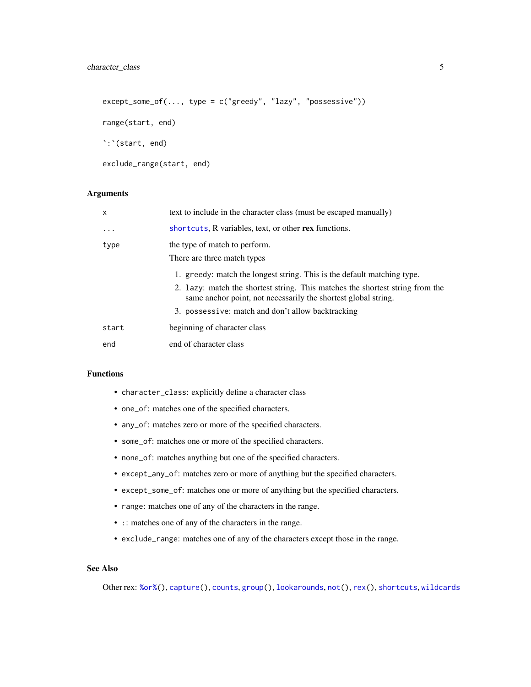```
except\_some_of(..., type = c("greedy", "lazy", "possessive"))range(start, end)
`:`(start, end)
exclude_range(start, end)
```
## Arguments

| $\mathsf{x}$ | text to include in the character class (must be escaped manually)                                                                                                                                                                                                               |
|--------------|---------------------------------------------------------------------------------------------------------------------------------------------------------------------------------------------------------------------------------------------------------------------------------|
| $\ddotsc$    | shortcuts, R variables, text, or other rex functions.                                                                                                                                                                                                                           |
| type         | the type of match to perform.<br>There are three match types                                                                                                                                                                                                                    |
|              | 1. greedy: match the longest string. This is the default matching type.<br>2. Lazy: match the shortest string. This matches the shortest string from the<br>same anchor point, not necessarily the shortest global string.<br>3. possessive: match and don't allow backtracking |
| start        | beginning of character class                                                                                                                                                                                                                                                    |
| end          | end of character class                                                                                                                                                                                                                                                          |

#### Functions

- character\_class: explicitly define a character class
- one\_of: matches one of the specified characters.
- any\_of: matches zero or more of the specified characters.
- some\_of: matches one or more of the specified characters.
- none\_of: matches anything but one of the specified characters.
- except\_any\_of: matches zero or more of anything but the specified characters.
- except\_some\_of: matches one or more of anything but the specified characters.
- range: matches one of any of the characters in the range.
- :: matches one of any of the characters in the range.
- exclude\_range: matches one of any of the characters except those in the range.

## See Also

Other rex: [%or%\(](#page-15-1)), [capture\(](#page-2-3)), [counts](#page-6-1), [group\(](#page-8-1)), [lookarounds](#page-8-2), [not\(](#page-9-1)), [rex\(](#page-10-1)), [shortcuts](#page-13-1), [wildcards](#page-14-1)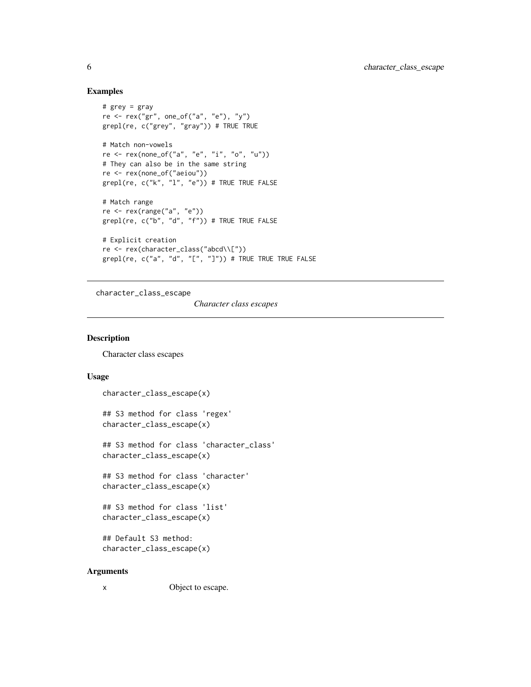#### Examples

```
# grey = gray
re <- rex("gr", one_of("a", "e"), "y")
grepl(re, c("grey", "gray")) # TRUE TRUE
# Match non-vowels
re <- rex(none_of("a", "e", "i", "o", "u"))
# They can also be in the same string
re <- rex(none_of("aeiou"))
grepl(re, c("k", "l", "e")) # TRUE TRUE FALSE
# Match range
re <- rex(range("a", "e"))
grepl(re, c("b", "d", "f")) # TRUE TRUE FALSE
# Explicit creation
re <- rex(character_class("abcd\\["))
grepl(re, c("a", "d", "[", "]")) # TRUE TRUE TRUE FALSE
```
character\_class\_escape

*Character class escapes*

#### Description

Character class escapes

## Usage

```
character_class_escape(x)
```
## S3 method for class 'regex' character\_class\_escape(x)

## S3 method for class 'character\_class' character\_class\_escape(x)

## S3 method for class 'character' character\_class\_escape(x)

## S3 method for class 'list' character\_class\_escape(x)

```
## Default S3 method:
character_class_escape(x)
```

```
x Object to escape.
```
<span id="page-5-0"></span>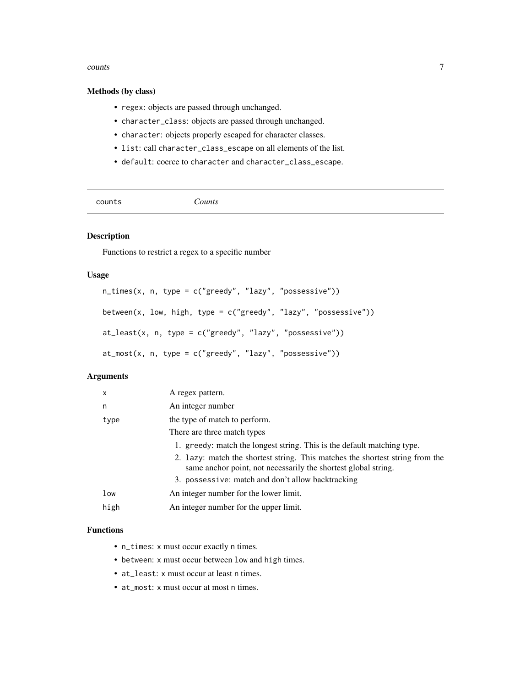#### <span id="page-6-0"></span>counts and  $\sim$  7

#### Methods (by class)

- regex: objects are passed through unchanged.
- character\_class: objects are passed through unchanged.
- character: objects properly escaped for character classes.
- list: call character\_class\_escape on all elements of the list.
- default: coerce to character and character\_class\_escape.

<span id="page-6-1"></span>

| counts | Counts |  |
|--------|--------|--|
|        |        |  |

#### Description

Functions to restrict a regex to a specific number

#### Usage

```
n_time(x, n, type = c("greedy", "lazy", "possessive"))between(x, low, high, type = c("greedy", "lazy", "possessive"))
at_least(x, n, type = c("greedy", "lazy", "possessive"))
at_most(x, n, type = c("greedy", "lazy", "possessive"))
```
## Arguments

| x    | A regex pattern.                                                                                                                                |
|------|-------------------------------------------------------------------------------------------------------------------------------------------------|
| n    | An integer number                                                                                                                               |
| type | the type of match to perform.                                                                                                                   |
|      | There are three match types                                                                                                                     |
|      | 1. greedy: match the longest string. This is the default matching type.                                                                         |
|      | 2. Lazy: match the shortest string. This matches the shortest string from the<br>same anchor point, not necessarily the shortest global string. |
|      | 3. possessive: match and don't allow backtracking                                                                                               |
| low  | An integer number for the lower limit.                                                                                                          |
| high | An integer number for the upper limit.                                                                                                          |

## Functions

- n\_times: x must occur exactly n times.
- between: x must occur between low and high times.
- at\_least: x must occur at least n times.
- at\_most: x must occur at most n times.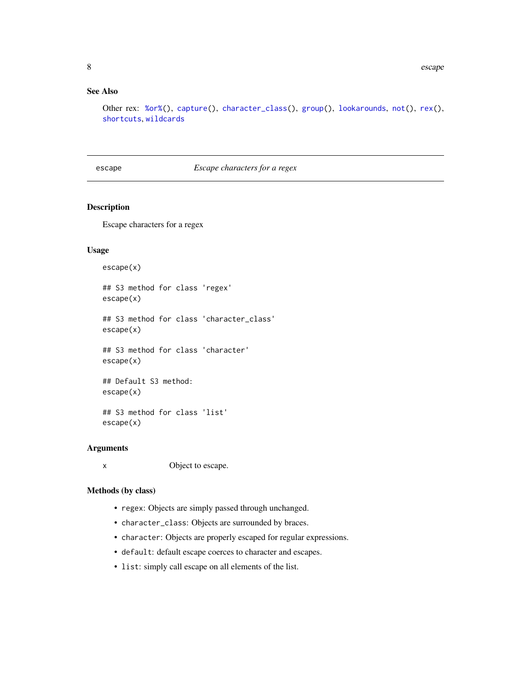#### <span id="page-7-0"></span>See Also

Other rex: [%or%\(](#page-15-1)), [capture\(](#page-2-3)), [character\\_class\(](#page-3-1)), [group\(](#page-8-1)), [lookarounds](#page-8-2), [not\(](#page-9-1)), [rex\(](#page-10-1)), [shortcuts](#page-13-1), [wildcards](#page-14-1)

## escape *Escape characters for a regex*

#### Description

Escape characters for a regex

## Usage

escape(x)

## S3 method for class 'regex' escape(x)

## S3 method for class 'character\_class' escape(x)

## S3 method for class 'character' escape(x)

## Default S3 method: escape(x)

## S3 method for class 'list' escape(x)

#### Arguments

x Object to escape.

## Methods (by class)

- regex: Objects are simply passed through unchanged.
- character\_class: Objects are surrounded by braces.
- character: Objects are properly escaped for regular expressions.
- default: default escape coerces to character and escapes.
- list: simply call escape on all elements of the list.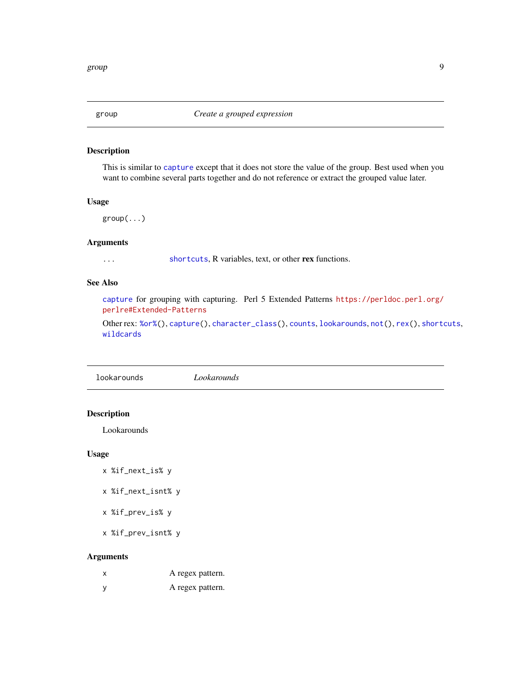<span id="page-8-1"></span><span id="page-8-0"></span>

#### Description

This is similar to [capture](#page-2-3) except that it does not store the value of the group. Best used when you want to combine several parts together and do not reference or extract the grouped value later.

## Usage

group(...)

## Arguments

... [shortcuts](#page-13-1), R variables, text, or other rex functions.

## See Also

[capture](#page-2-3) for grouping with capturing. Perl 5 Extended Patterns [https://perldoc.perl.org/](https://perldoc.perl.org/perlre#Extended-Patterns) [perlre#Extended-Patterns](https://perldoc.perl.org/perlre#Extended-Patterns)

Other rex: [%or%\(](#page-15-1)), [capture\(](#page-2-3)), [character\\_class\(](#page-3-1)), [counts](#page-6-1), [lookarounds](#page-8-2), [not\(](#page-9-1)), [rex\(](#page-10-1)), [shortcuts](#page-13-1), [wildcards](#page-14-1)

<span id="page-8-2"></span>lookarounds *Lookarounds*

#### Description

Lookarounds

#### Usage

- x %if\_next\_is% y
- x %if\_next\_isnt% y
- x %if\_prev\_is% y
- x %if\_prev\_isnt% y

| x        | A regex pattern. |
|----------|------------------|
| <b>V</b> | A regex pattern. |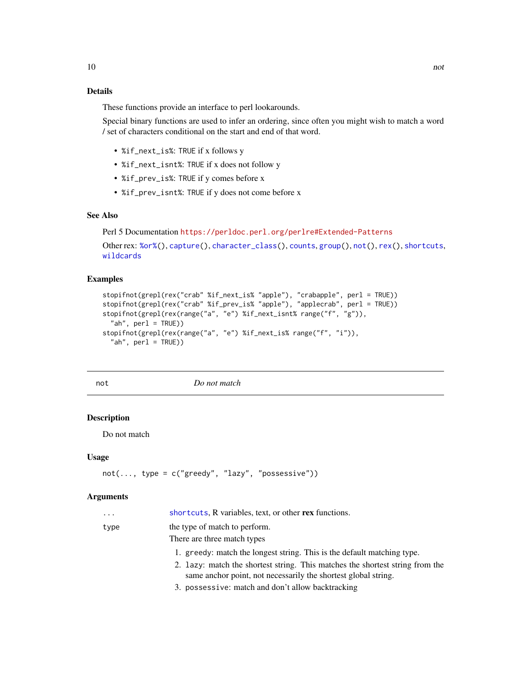## <span id="page-9-0"></span>Details

These functions provide an interface to perl lookarounds.

Special binary functions are used to infer an ordering, since often you might wish to match a word / set of characters conditional on the start and end of that word.

- %if\_next\_is%: TRUE if x follows y
- %if\_next\_isnt%: TRUE if x does not follow y
- %if\_prev\_is%: TRUE if y comes before x
- %if\_prev\_isnt%: TRUE if y does not come before x

## See Also

Perl 5 Documentation <https://perldoc.perl.org/perlre#Extended-Patterns>

```
Other rex: %or%(), capture(), character_class(), counts, group(), not(), rex(), shortcuts,
wildcards
```
#### Examples

```
stopifnot(grepl(rex("crab" %if_next_is% "apple"), "crabapple", perl = TRUE))
stopifnot(grepl(rex("crab" %if_prev_is% "apple"), "applecrab", perl = TRUE))
stopifnot(grepl(rex(range("a", "e") %if_next_isnt% range("f", "g")),
  "ah", perl = TRUE))
stopifnot(grepl(rex(range("a", "e") %if_next_is% range("f", "i")),
  "ah", perl = TRUE))
```
<span id="page-9-1"></span>

not *Do not match*

#### Description

Do not match

### Usage

```
not(..., type = c("greedy", "lazy", "possessive"))
```

| $\cdots$ | shortcuts, R variables, text, or other rex functions.                                                                                           |
|----------|-------------------------------------------------------------------------------------------------------------------------------------------------|
| type     | the type of match to perform.                                                                                                                   |
|          | There are three match types                                                                                                                     |
|          | 1. greedy: match the longest string. This is the default matching type.                                                                         |
|          | 2. Lazy: match the shortest string. This matches the shortest string from the<br>same anchor point, not necessarily the shortest global string. |
|          | 3. possessive: match and don't allow backtracking                                                                                               |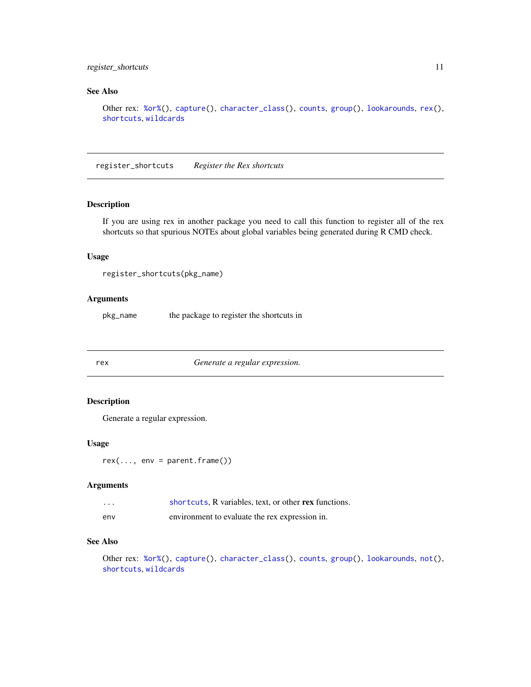## <span id="page-10-0"></span>register\_shortcuts 11

## See Also

```
Other rex: %or%(), capture(), character_class(), counts, group(), lookarounds, rex(),
shortcuts, wildcards
```
register\_shortcuts *Register the Rex shortcuts*

## Description

If you are using rex in another package you need to call this function to register all of the rex shortcuts so that spurious NOTEs about global variables being generated during R CMD check.

#### Usage

```
register_shortcuts(pkg_name)
```
#### Arguments

pkg\_name the package to register the shortcuts in

<span id="page-10-1"></span>

rex *Generate a regular expression.*

## Description

Generate a regular expression.

#### Usage

 $rex(..., env = parent.frame())$ 

#### Arguments

| $\cdots$ | shortcuts. R variables, text, or other rex functions. |
|----------|-------------------------------------------------------|
| env      | environment to evaluate the rex expression in.        |

#### See Also

Other rex: [%or%\(](#page-15-1)), [capture\(](#page-2-3)), [character\\_class\(](#page-3-1)), [counts](#page-6-1), [group\(](#page-8-1)), [lookarounds](#page-8-2), [not\(](#page-9-1)), [shortcuts](#page-13-1), [wildcards](#page-14-1)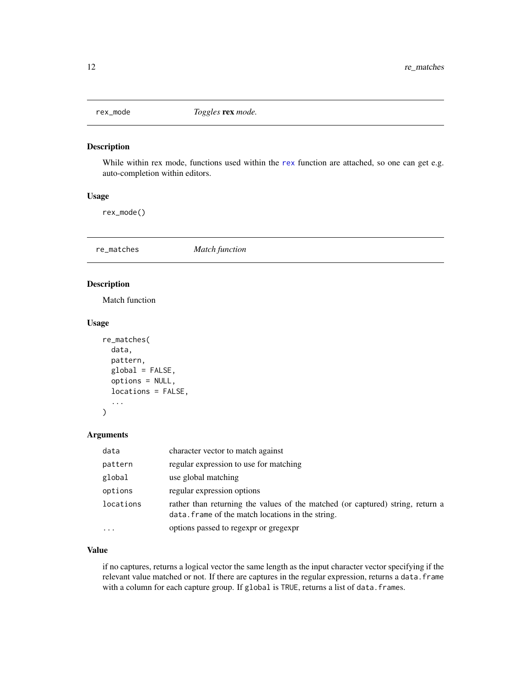<span id="page-11-0"></span>

#### Description

While within [rex](#page-10-1) mode, functions used within the rex function are attached, so one can get e.g. auto-completion within editors.

## Usage

rex\_mode()

re\_matches *Match function*

## Description

Match function

#### Usage

```
re_matches(
  data,
 pattern,
 global = FALSE,
  options = NULL,
  locations = FALSE,
  ...
)
```
#### Arguments

| data      | character vector to match against                                                                                                   |
|-----------|-------------------------------------------------------------------------------------------------------------------------------------|
| pattern   | regular expression to use for matching                                                                                              |
| global    | use global matching                                                                                                                 |
| options   | regular expression options                                                                                                          |
| locations | rather than returning the values of the matched (or captured) string, return a<br>data. frame of the match locations in the string. |
| $\ddotsc$ | options passed to regexpr or gregexpr                                                                                               |

## Value

if no captures, returns a logical vector the same length as the input character vector specifying if the relevant value matched or not. If there are captures in the regular expression, returns a data. frame with a column for each capture group. If global is TRUE, returns a list of data. frames.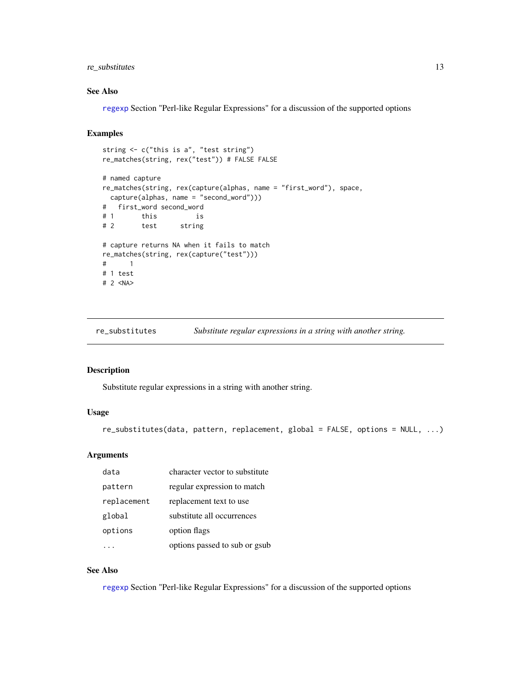## <span id="page-12-0"></span>re\_substitutes 13

## See Also

[regexp](#page-0-0) Section "Perl-like Regular Expressions" for a discussion of the supported options

## Examples

```
string <- c("this is a", "test string")
re_matches(string, rex("test")) # FALSE FALSE
# named capture
re_matches(string, rex(capture(alphas, name = "first_word"), space,
 capture(alphas, name = "second_word")))
# first_word second_word
# 1 this is<br># 2 test string
# 2 test string
# capture returns NA when it fails to match
re_matches(string, rex(capture("test")))
# 1
# 1 test
# 2 <NA>
```
re\_substitutes *Substitute regular expressions in a string with another string.*

#### Description

Substitute regular expressions in a string with another string.

#### Usage

```
re_substitutes(data, pattern, replacement, global = FALSE, options = NULL, ...)
```
#### Arguments

| data        | character vector to substitute |
|-------------|--------------------------------|
| pattern     | regular expression to match    |
| replacement | replacement text to use        |
| global      | substitute all occurrences     |
| options     | option flags                   |
|             | options passed to sub or gsub  |

#### See Also

[regexp](#page-0-0) Section "Perl-like Regular Expressions" for a discussion of the supported options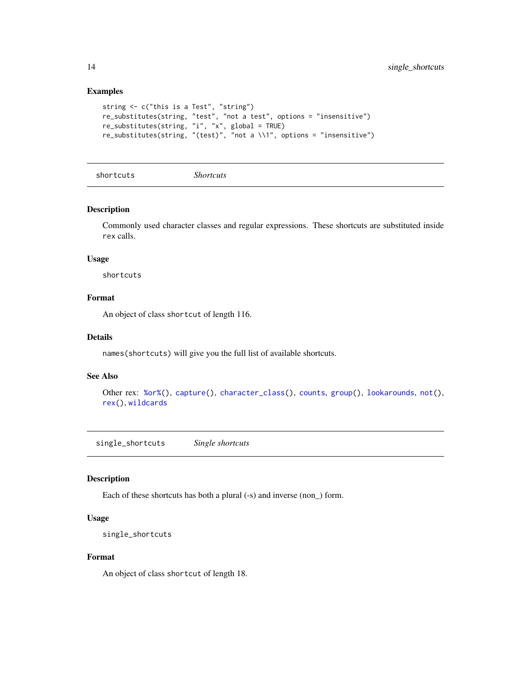#### Examples

```
string <- c("this is a Test", "string")
re_substitutes(string, "test", "not a test", options = "insensitive")
re_substitutes(string, "i", "x", global = TRUE)
re_substitutes(string, "(test)", "not a \\1", options = "insensitive")
```
<span id="page-13-1"></span>shortcuts *Shortcuts*

## Description

Commonly used character classes and regular expressions. These shortcuts are substituted inside rex calls.

#### Usage

shortcuts

## Format

An object of class shortcut of length 116.

#### Details

names(shortcuts) will give you the full list of available shortcuts.

#### See Also

```
Other rex: %or%(), capture(), character_class(), counts, group(), lookarounds, not(),
rex(), wildcards
```
single\_shortcuts *Single shortcuts*

#### Description

Each of these shortcuts has both a plural (-s) and inverse (non\_) form.

#### Usage

```
single_shortcuts
```
## Format

An object of class shortcut of length 18.

<span id="page-13-0"></span>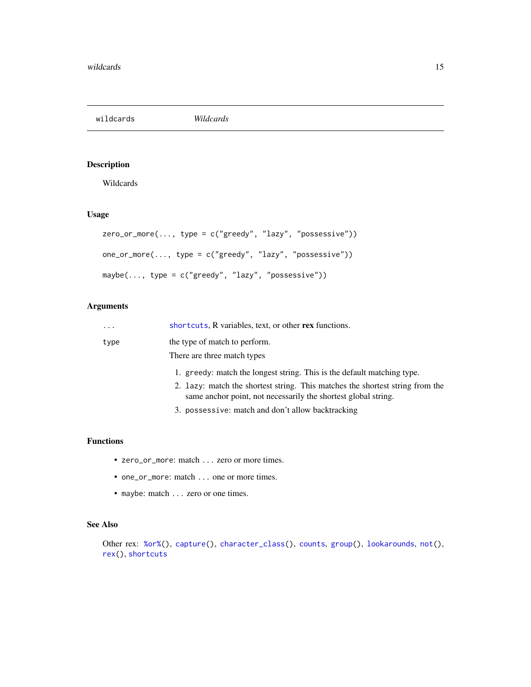<span id="page-14-1"></span><span id="page-14-0"></span>wildcards *Wildcards*

## Description

Wildcards

## Usage

```
zero_or_more(..., type = c("greedy", "lazy", "possessive"))
one_or_more(..., type = c("greedy", "lazy", "possessive"))
maybe(..., type = c("greedy", "lazy", "possessive"))
```
## Arguments

| $\ddots$ . | shortcuts, R variables, text, or other rex functions.                                                                                           |
|------------|-------------------------------------------------------------------------------------------------------------------------------------------------|
| type       | the type of match to perform.                                                                                                                   |
|            | There are three match types                                                                                                                     |
|            | 1. greedy: match the longest string. This is the default matching type.                                                                         |
|            | 2. Lazy: match the shortest string. This matches the shortest string from the<br>same anchor point, not necessarily the shortest global string. |
|            | 3. possessive: match and don't allow backtracking                                                                                               |

## Functions

- zero\_or\_more: match ... zero or more times.
- one\_or\_more: match . . . one or more times.
- maybe: match . . . zero or one times.

## See Also

Other rex: [%or%\(](#page-15-1)), [capture\(](#page-2-3)), [character\\_class\(](#page-3-1)), [counts](#page-6-1), [group\(](#page-8-1)), [lookarounds](#page-8-2), [not\(](#page-9-1)), [rex\(](#page-10-1)), [shortcuts](#page-13-1)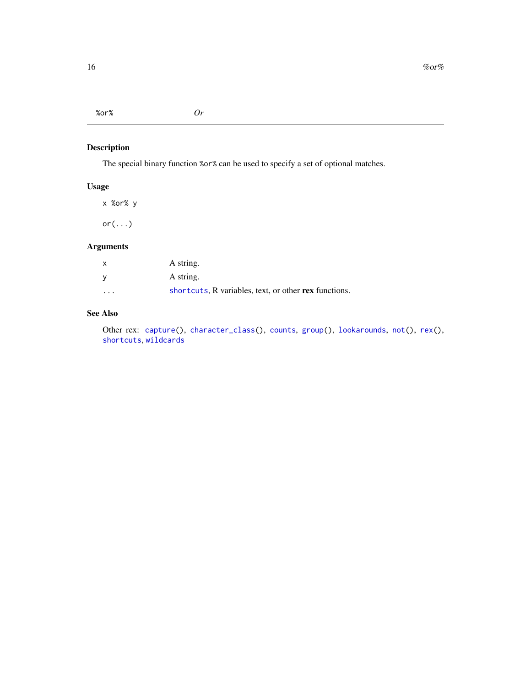## <span id="page-15-1"></span><span id="page-15-0"></span>%or% *Or*

## Description

The special binary function %or% can be used to specify a set of optional matches.

## Usage

x %or% y

or(...)

## Arguments

| $\times$ | A string.                                             |
|----------|-------------------------------------------------------|
| V        | A string.                                             |
| $\cdot$  | shortcuts, R variables, text, or other rex functions. |

## See Also

Other rex: [capture\(](#page-2-3)), [character\\_class\(](#page-3-1)), [counts](#page-6-1), [group\(](#page-8-1)), [lookarounds](#page-8-2), [not\(](#page-9-1)), [rex\(](#page-10-1)), [shortcuts](#page-13-1), [wildcards](#page-14-1)